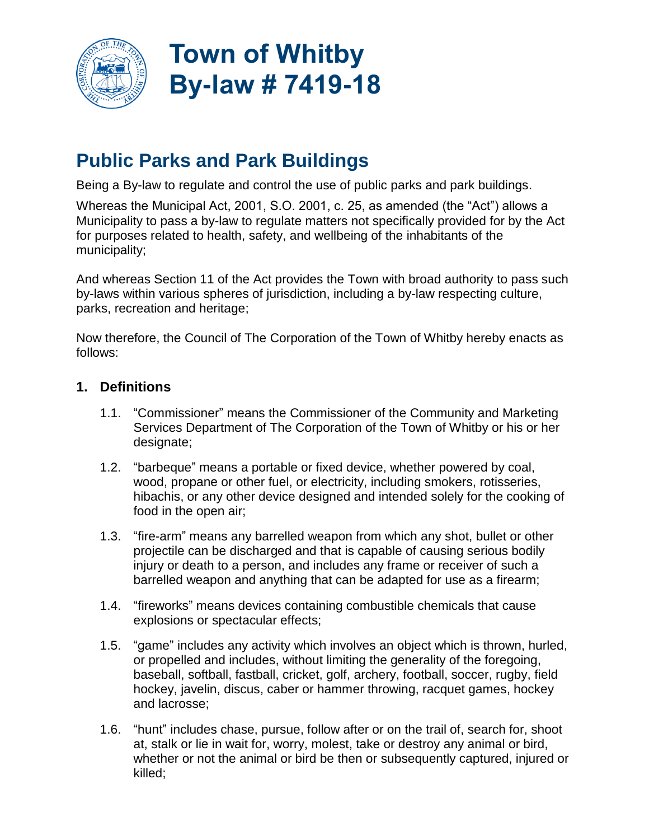

# **Town of Whitby By-law # 7419-18**

# **Public Parks and Park Buildings**

Being a By-law to regulate and control the use of public parks and park buildings.

Whereas the Municipal Act, 2001, S.O. 2001, c. 25, as amended (the "Act") allows a Municipality to pass a by-law to regulate matters not specifically provided for by the Act for purposes related to health, safety, and wellbeing of the inhabitants of the municipality;

And whereas Section 11 of the Act provides the Town with broad authority to pass such by-laws within various spheres of jurisdiction, including a by-law respecting culture, parks, recreation and heritage;

Now therefore, the Council of The Corporation of the Town of Whitby hereby enacts as follows:

# **1. Definitions**

- 1.1. "Commissioner" means the Commissioner of the Community and Marketing Services Department of The Corporation of the Town of Whitby or his or her designate;
- 1.2. "barbeque" means a portable or fixed device, whether powered by coal, wood, propane or other fuel, or electricity, including smokers, rotisseries, hibachis, or any other device designed and intended solely for the cooking of food in the open air;
- 1.3. "fire-arm" means any barrelled weapon from which any shot, bullet or other projectile can be discharged and that is capable of causing serious bodily injury or death to a person, and includes any frame or receiver of such a barrelled weapon and anything that can be adapted for use as a firearm;
- 1.4. "fireworks" means devices containing combustible chemicals that cause explosions or spectacular effects;
- 1.5. "game" includes any activity which involves an object which is thrown, hurled, or propelled and includes, without limiting the generality of the foregoing, baseball, softball, fastball, cricket, golf, archery, football, soccer, rugby, field hockey, javelin, discus, caber or hammer throwing, racquet games, hockey and lacrosse;
- 1.6. "hunt" includes chase, pursue, follow after or on the trail of, search for, shoot at, stalk or lie in wait for, worry, molest, take or destroy any animal or bird, whether or not the animal or bird be then or subsequently captured, injured or killed;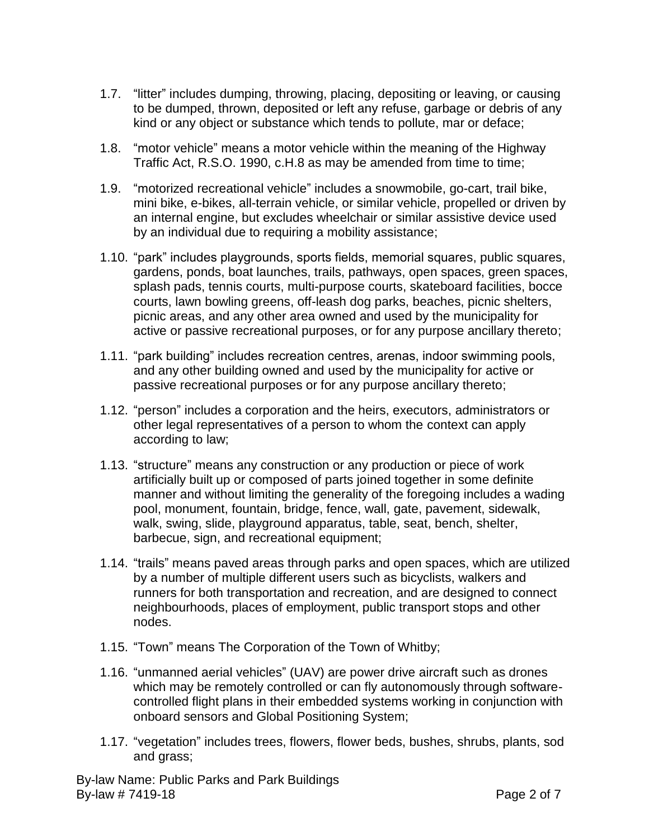- 1.7. "litter" includes dumping, throwing, placing, depositing or leaving, or causing to be dumped, thrown, deposited or left any refuse, garbage or debris of any kind or any object or substance which tends to pollute, mar or deface;
- 1.8. "motor vehicle" means a motor vehicle within the meaning of the Highway Traffic Act, R.S.O. 1990, c.H.8 as may be amended from time to time;
- 1.9. "motorized recreational vehicle" includes a snowmobile, go-cart, trail bike, mini bike, e-bikes, all-terrain vehicle, or similar vehicle, propelled or driven by an internal engine, but excludes wheelchair or similar assistive device used by an individual due to requiring a mobility assistance;
- 1.10. "park" includes playgrounds, sports fields, memorial squares, public squares, gardens, ponds, boat launches, trails, pathways, open spaces, green spaces, splash pads, tennis courts, multi-purpose courts, skateboard facilities, bocce courts, lawn bowling greens, off-leash dog parks, beaches, picnic shelters, picnic areas, and any other area owned and used by the municipality for active or passive recreational purposes, or for any purpose ancillary thereto;
- 1.11. "park building" includes recreation centres, arenas, indoor swimming pools, and any other building owned and used by the municipality for active or passive recreational purposes or for any purpose ancillary thereto;
- 1.12. "person" includes a corporation and the heirs, executors, administrators or other legal representatives of a person to whom the context can apply according to law;
- 1.13. "structure" means any construction or any production or piece of work artificially built up or composed of parts joined together in some definite manner and without limiting the generality of the foregoing includes a wading pool, monument, fountain, bridge, fence, wall, gate, pavement, sidewalk, walk, swing, slide, playground apparatus, table, seat, bench, shelter, barbecue, sign, and recreational equipment;
- 1.14. "trails" means paved areas through parks and open spaces, which are utilized by a number of multiple different users such as bicyclists, walkers and runners for both transportation and recreation, and are designed to connect neighbourhoods, places of employment, public transport stops and other nodes.
- 1.15. "Town" means The Corporation of the Town of Whitby;
- 1.16. "unmanned aerial vehicles" (UAV) are power drive aircraft such as drones which may be remotely controlled or can fly autonomously through softwarecontrolled flight plans in their embedded systems working in conjunction with onboard sensors and Global Positioning System;
- 1.17. "vegetation" includes trees, flowers, flower beds, bushes, shrubs, plants, sod and grass;

By-law Name: Public Parks and Park Buildings By-law # 7419-18 **Page 2 of 7**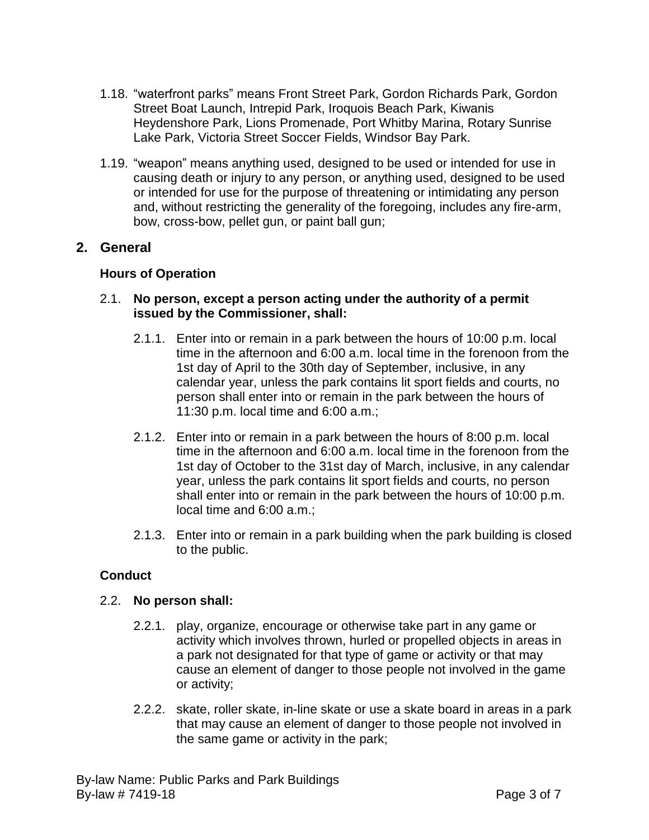- 1.18. "waterfront parks" means Front Street Park, Gordon Richards Park, Gordon Street Boat Launch, Intrepid Park, Iroquois Beach Park, Kiwanis Heydenshore Park, Lions Promenade, Port Whitby Marina, Rotary Sunrise Lake Park, Victoria Street Soccer Fields, Windsor Bay Park.
- 1.19. "weapon" means anything used, designed to be used or intended for use in causing death or injury to any person, or anything used, designed to be used or intended for use for the purpose of threatening or intimidating any person and, without restricting the generality of the foregoing, includes any fire-arm, bow, cross-bow, pellet gun, or paint ball gun;

# **2. General**

#### **Hours of Operation**

#### 2.1. **No person, except a person acting under the authority of a permit issued by the Commissioner, shall:**

- 2.1.1. Enter into or remain in a park between the hours of 10:00 p.m. local time in the afternoon and 6:00 a.m. local time in the forenoon from the 1st day of April to the 30th day of September, inclusive, in any calendar year, unless the park contains lit sport fields and courts, no person shall enter into or remain in the park between the hours of 11:30 p.m. local time and 6:00 a.m.;
- 2.1.2. Enter into or remain in a park between the hours of 8:00 p.m. local time in the afternoon and 6:00 a.m. local time in the forenoon from the 1st day of October to the 31st day of March, inclusive, in any calendar year, unless the park contains lit sport fields and courts, no person shall enter into or remain in the park between the hours of 10:00 p.m. local time and 6:00 a.m.;
- 2.1.3. Enter into or remain in a park building when the park building is closed to the public.

#### **Conduct**

#### 2.2. **No person shall:**

- 2.2.1. play, organize, encourage or otherwise take part in any game or activity which involves thrown, hurled or propelled objects in areas in a park not designated for that type of game or activity or that may cause an element of danger to those people not involved in the game or activity;
- 2.2.2. skate, roller skate, in-line skate or use a skate board in areas in a park that may cause an element of danger to those people not involved in the same game or activity in the park;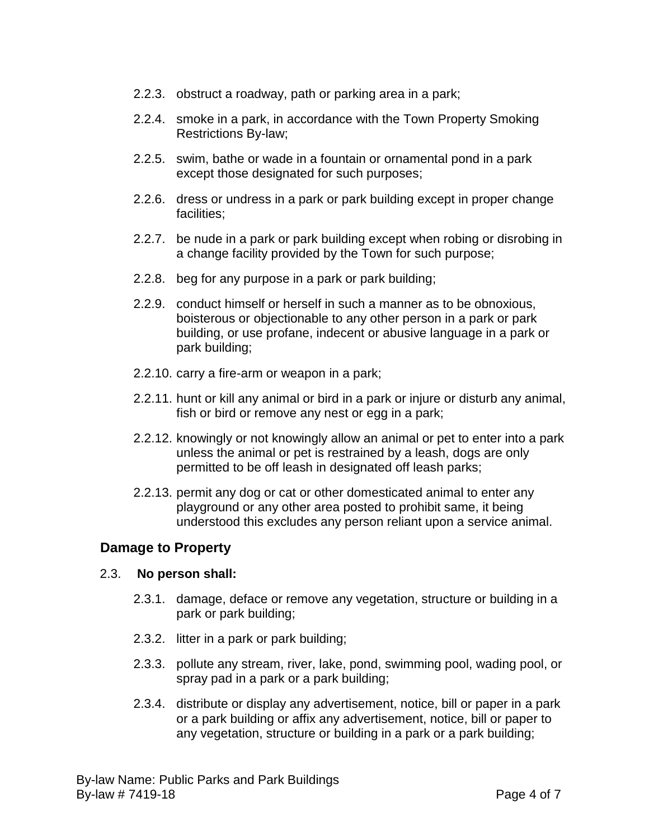- 2.2.3. obstruct a roadway, path or parking area in a park;
- 2.2.4. smoke in a park, in accordance with the Town Property Smoking Restrictions By-law;
- 2.2.5. swim, bathe or wade in a fountain or ornamental pond in a park except those designated for such purposes;
- 2.2.6. dress or undress in a park or park building except in proper change facilities;
- 2.2.7. be nude in a park or park building except when robing or disrobing in a change facility provided by the Town for such purpose;
- 2.2.8. beg for any purpose in a park or park building;
- 2.2.9. conduct himself or herself in such a manner as to be obnoxious, boisterous or objectionable to any other person in a park or park building, or use profane, indecent or abusive language in a park or park building;
- 2.2.10. carry a fire-arm or weapon in a park;
- 2.2.11. hunt or kill any animal or bird in a park or injure or disturb any animal, fish or bird or remove any nest or egg in a park;
- 2.2.12. knowingly or not knowingly allow an animal or pet to enter into a park unless the animal or pet is restrained by a leash, dogs are only permitted to be off leash in designated off leash parks;
- 2.2.13. permit any dog or cat or other domesticated animal to enter any playground or any other area posted to prohibit same, it being understood this excludes any person reliant upon a service animal.

# **Damage to Property**

#### 2.3. **No person shall:**

- 2.3.1. damage, deface or remove any vegetation, structure or building in a park or park building;
- 2.3.2. litter in a park or park building;
- 2.3.3. pollute any stream, river, lake, pond, swimming pool, wading pool, or spray pad in a park or a park building;
- 2.3.4. distribute or display any advertisement, notice, bill or paper in a park or a park building or affix any advertisement, notice, bill or paper to any vegetation, structure or building in a park or a park building;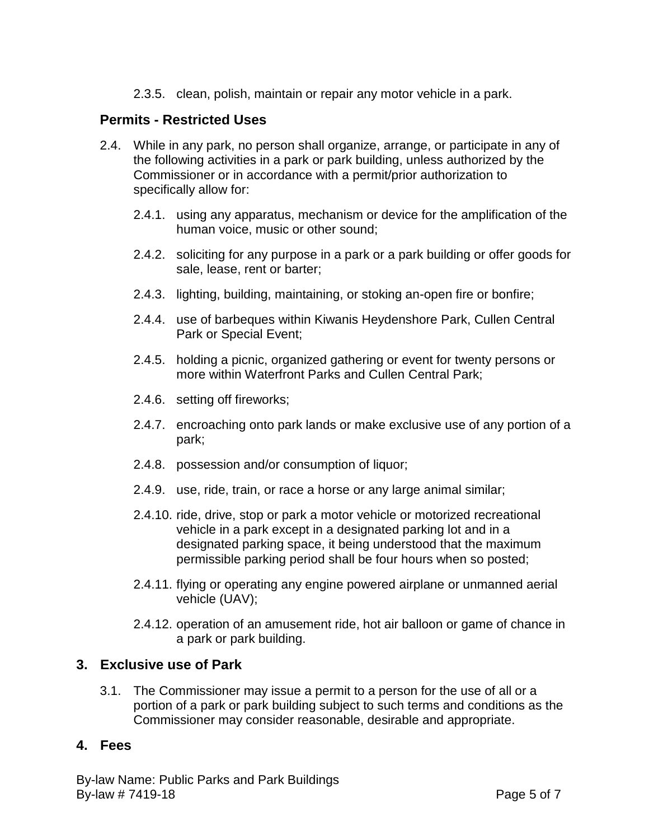2.3.5. clean, polish, maintain or repair any motor vehicle in a park.

# **Permits - Restricted Uses**

- 2.4. While in any park, no person shall organize, arrange, or participate in any of the following activities in a park or park building, unless authorized by the Commissioner or in accordance with a permit/prior authorization to specifically allow for:
	- 2.4.1. using any apparatus, mechanism or device for the amplification of the human voice, music or other sound;
	- 2.4.2. soliciting for any purpose in a park or a park building or offer goods for sale, lease, rent or barter;
	- 2.4.3. lighting, building, maintaining, or stoking an-open fire or bonfire;
	- 2.4.4. use of barbeques within Kiwanis Heydenshore Park, Cullen Central Park or Special Event;
	- 2.4.5. holding a picnic, organized gathering or event for twenty persons or more within Waterfront Parks and Cullen Central Park;
	- 2.4.6. setting off fireworks;
	- 2.4.7. encroaching onto park lands or make exclusive use of any portion of a park;
	- 2.4.8. possession and/or consumption of liquor;
	- 2.4.9. use, ride, train, or race a horse or any large animal similar;
	- 2.4.10. ride, drive, stop or park a motor vehicle or motorized recreational vehicle in a park except in a designated parking lot and in a designated parking space, it being understood that the maximum permissible parking period shall be four hours when so posted;
	- 2.4.11. flying or operating any engine powered airplane or unmanned aerial vehicle (UAV);
	- 2.4.12. operation of an amusement ride, hot air balloon or game of chance in a park or park building.

# **3. Exclusive use of Park**

3.1. The Commissioner may issue a permit to a person for the use of all or a portion of a park or park building subject to such terms and conditions as the Commissioner may consider reasonable, desirable and appropriate.

# **4. Fees**

By-law Name: Public Parks and Park Buildings By-law # 7419-18 **Page 5 of 7**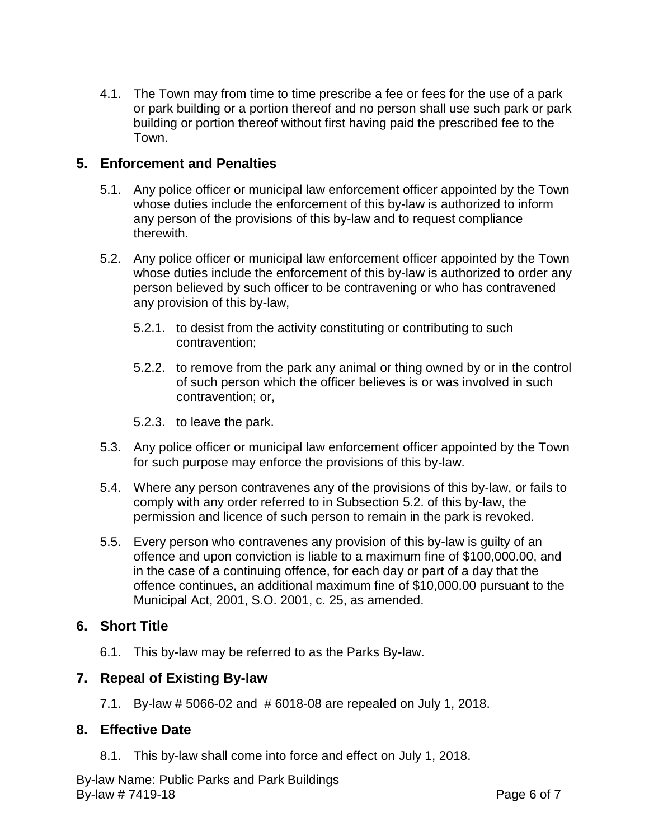4.1. The Town may from time to time prescribe a fee or fees for the use of a park or park building or a portion thereof and no person shall use such park or park building or portion thereof without first having paid the prescribed fee to the Town.

# **5. Enforcement and Penalties**

- 5.1. Any police officer or municipal law enforcement officer appointed by the Town whose duties include the enforcement of this by-law is authorized to inform any person of the provisions of this by-law and to request compliance therewith.
- 5.2. Any police officer or municipal law enforcement officer appointed by the Town whose duties include the enforcement of this by-law is authorized to order any person believed by such officer to be contravening or who has contravened any provision of this by-law,
	- 5.2.1. to desist from the activity constituting or contributing to such contravention;
	- 5.2.2. to remove from the park any animal or thing owned by or in the control of such person which the officer believes is or was involved in such contravention; or,
	- 5.2.3. to leave the park.
- 5.3. Any police officer or municipal law enforcement officer appointed by the Town for such purpose may enforce the provisions of this by-law.
- 5.4. Where any person contravenes any of the provisions of this by-law, or fails to comply with any order referred to in Subsection 5.2. of this by-law, the permission and licence of such person to remain in the park is revoked.
- 5.5. Every person who contravenes any provision of this by-law is guilty of an offence and upon conviction is liable to a maximum fine of \$100,000.00, and in the case of a continuing offence, for each day or part of a day that the offence continues, an additional maximum fine of \$10,000.00 pursuant to the Municipal Act, 2001, S.O. 2001, c. 25, as amended.

# **6. Short Title**

6.1. This by-law may be referred to as the Parks By-law.

# **7. Repeal of Existing By-law**

7.1. By-law # 5066-02 and # 6018-08 are repealed on July 1, 2018.

# **8. Effective Date**

8.1. This by-law shall come into force and effect on July 1, 2018.

By-law Name: Public Parks and Park Buildings By-law # 7419-18 **Page 6 of 7**